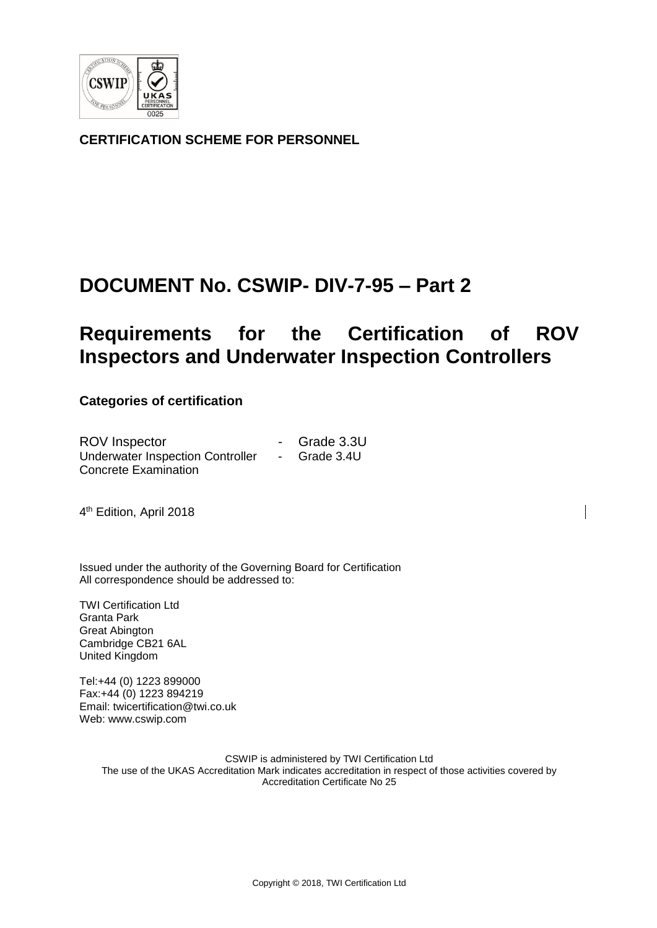

**CERTIFICATION SCHEME FOR PERSONNEL**

# **DOCUMENT No. CSWIP- DIV-7-95 – Part 2**

# **Requirements for the Certification of ROV Inspectors and Underwater Inspection Controllers**

# **Categories of certification**

| <b>ROV</b> Inspector                    |                   | - Grade 3.3U |
|-----------------------------------------|-------------------|--------------|
| <b>Underwater Inspection Controller</b> | $\sim$ 100 $\sim$ | Grade 3.4U   |
| <b>Concrete Examination</b>             |                   |              |

4<sup>th</sup> Edition, April 2018

Issued under the authority of the Governing Board for Certification All correspondence should be addressed to:

TWI Certification Ltd Granta Park Great Abington Cambridge CB21 6AL United Kingdom

Tel:+44 (0) 1223 899000 Fax:+44 (0) 1223 894219 Email: twicertification@twi.co.uk Web: www.cswip.com

> CSWIP is administered by TWI Certification Ltd The use of the UKAS Accreditation Mark indicates accreditation in respect of those activities covered by Accreditation Certificate No 25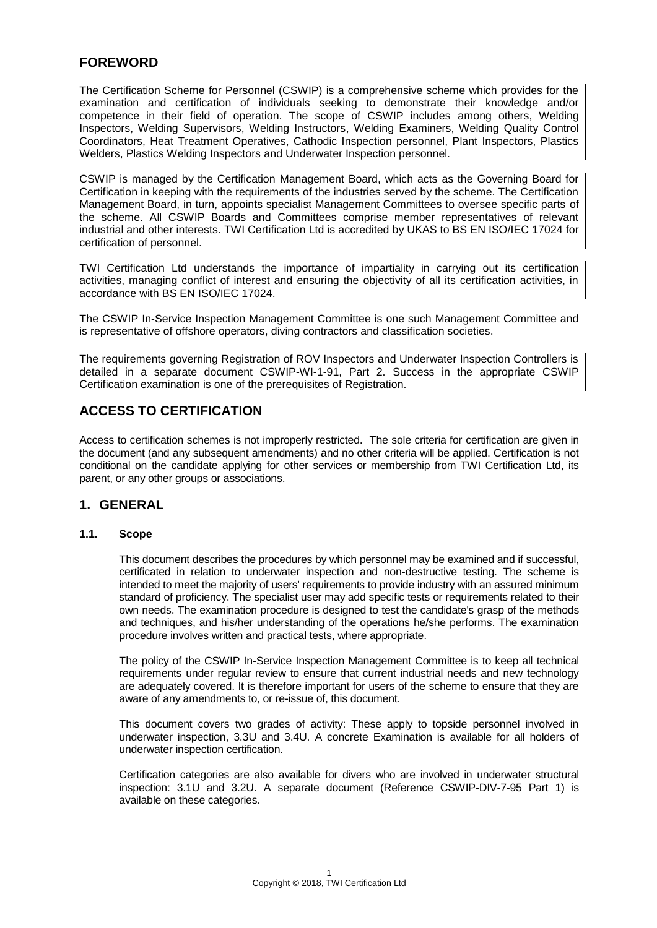# **FOREWORD**

The Certification Scheme for Personnel (CSWIP) is a comprehensive scheme which provides for the examination and certification of individuals seeking to demonstrate their knowledge and/or competence in their field of operation. The scope of CSWIP includes among others, Welding Inspectors, Welding Supervisors, Welding Instructors, Welding Examiners, Welding Quality Control Coordinators, Heat Treatment Operatives, Cathodic Inspection personnel, Plant Inspectors, Plastics Welders, Plastics Welding Inspectors and Underwater Inspection personnel.

CSWIP is managed by the Certification Management Board, which acts as the Governing Board for Certification in keeping with the requirements of the industries served by the scheme. The Certification Management Board, in turn, appoints specialist Management Committees to oversee specific parts of the scheme. All CSWIP Boards and Committees comprise member representatives of relevant industrial and other interests. TWI Certification Ltd is accredited by UKAS to BS EN ISO/IEC 17024 for certification of personnel.

TWI Certification Ltd understands the importance of impartiality in carrying out its certification activities, managing conflict of interest and ensuring the objectivity of all its certification activities, in accordance with BS EN ISO/IEC 17024.

The CSWIP In-Service Inspection Management Committee is one such Management Committee and is representative of offshore operators, diving contractors and classification societies.

The requirements governing Registration of ROV Inspectors and Underwater Inspection Controllers is detailed in a separate document CSWIP-WI-1-91, Part 2. Success in the appropriate CSWIP Certification examination is one of the prerequisites of Registration.

# **ACCESS TO CERTIFICATION**

Access to certification schemes is not improperly restricted. The sole criteria for certification are given in the document (and any subsequent amendments) and no other criteria will be applied. Certification is not conditional on the candidate applying for other services or membership from TWI Certification Ltd, its parent, or any other groups or associations.

# **1. GENERAL**

# **1.1. Scope**

This document describes the procedures by which personnel may be examined and if successful, certificated in relation to underwater inspection and non-destructive testing. The scheme is intended to meet the majority of users' requirements to provide industry with an assured minimum standard of proficiency. The specialist user may add specific tests or requirements related to their own needs. The examination procedure is designed to test the candidate's grasp of the methods and techniques, and his/her understanding of the operations he/she performs. The examination procedure involves written and practical tests, where appropriate.

The policy of the CSWIP In-Service Inspection Management Committee is to keep all technical requirements under regular review to ensure that current industrial needs and new technology are adequately covered. It is therefore important for users of the scheme to ensure that they are aware of any amendments to, or re-issue of, this document.

This document covers two grades of activity: These apply to topside personnel involved in underwater inspection, 3.3U and 3.4U. A concrete Examination is available for all holders of underwater inspection certification.

Certification categories are also available for divers who are involved in underwater structural inspection: 3.1U and 3.2U. A separate document (Reference CSWIP-DIV-7-95 Part 1) is available on these categories.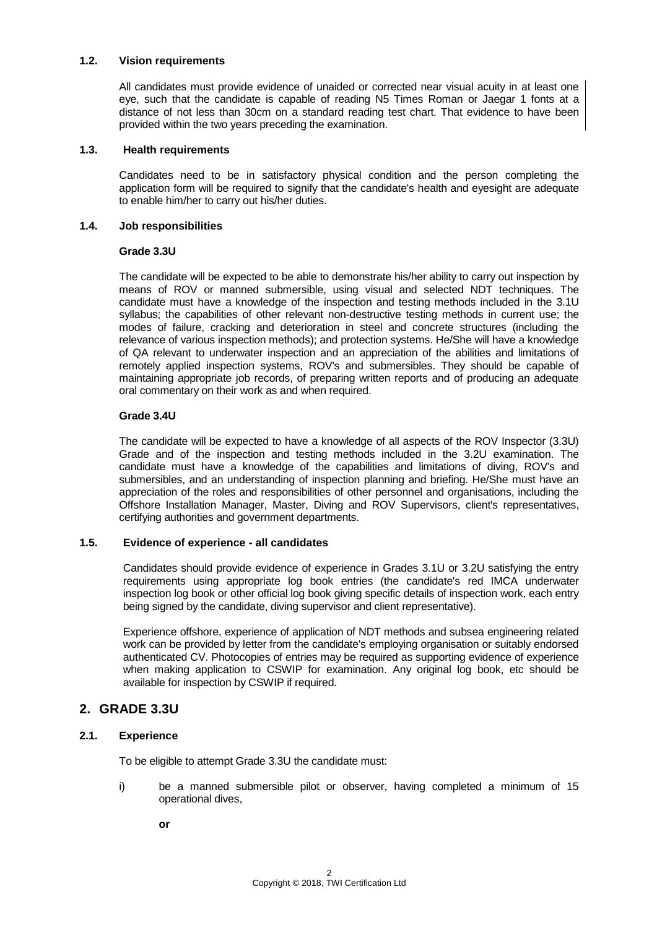#### **1.2. Vision requirements**

All candidates must provide evidence of unaided or corrected near visual acuity in at least one eye, such that the candidate is capable of reading N5 Times Roman or Jaegar 1 fonts at a distance of not less than 30cm on a standard reading test chart. That evidence to have been provided within the two years preceding the examination.

#### **1.3. Health requirements**

Candidates need to be in satisfactory physical condition and the person completing the application form will be required to signify that the candidate's health and eyesight are adequate to enable him/her to carry out his/her duties.

#### **1.4. Job responsibilities**

#### **Grade 3.3U**

The candidate will be expected to be able to demonstrate his/her ability to carry out inspection by means of ROV or manned submersible, using visual and selected NDT techniques. The candidate must have a knowledge of the inspection and testing methods included in the 3.1U syllabus; the capabilities of other relevant non-destructive testing methods in current use; the modes of failure, cracking and deterioration in steel and concrete structures (including the relevance of various inspection methods); and protection systems. He/She will have a knowledge of QA relevant to underwater inspection and an appreciation of the abilities and limitations of remotely applied inspection systems, ROV's and submersibles. They should be capable of maintaining appropriate job records, of preparing written reports and of producing an adequate oral commentary on their work as and when required.

### **Grade 3.4U**

The candidate will be expected to have a knowledge of all aspects of the ROV Inspector (3.3U) Grade and of the inspection and testing methods included in the 3.2U examination. The candidate must have a knowledge of the capabilities and limitations of diving, ROV's and submersibles, and an understanding of inspection planning and briefing. He/She must have an appreciation of the roles and responsibilities of other personnel and organisations, including the Offshore Installation Manager, Master, Diving and ROV Supervisors, client's representatives, certifying authorities and government departments.

#### **1.5. Evidence of experience - all candidates**

Candidates should provide evidence of experience in Grades 3.1U or 3.2U satisfying the entry requirements using appropriate log book entries (the candidate's red IMCA underwater inspection log book or other official log book giving specific details of inspection work, each entry being signed by the candidate, diving supervisor and client representative).

Experience offshore, experience of application of NDT methods and subsea engineering related work can be provided by letter from the candidate's employing organisation or suitably endorsed authenticated CV. Photocopies of entries may be required as supporting evidence of experience when making application to CSWIP for examination. Any original log book, etc should be available for inspection by CSWIP if required.

# **2. GRADE 3.3U**

# **2.1. Experience**

To be eligible to attempt Grade 3.3U the candidate must:

i) be a manned submersible pilot or observer, having completed a minimum of 15 operational dives,

**or**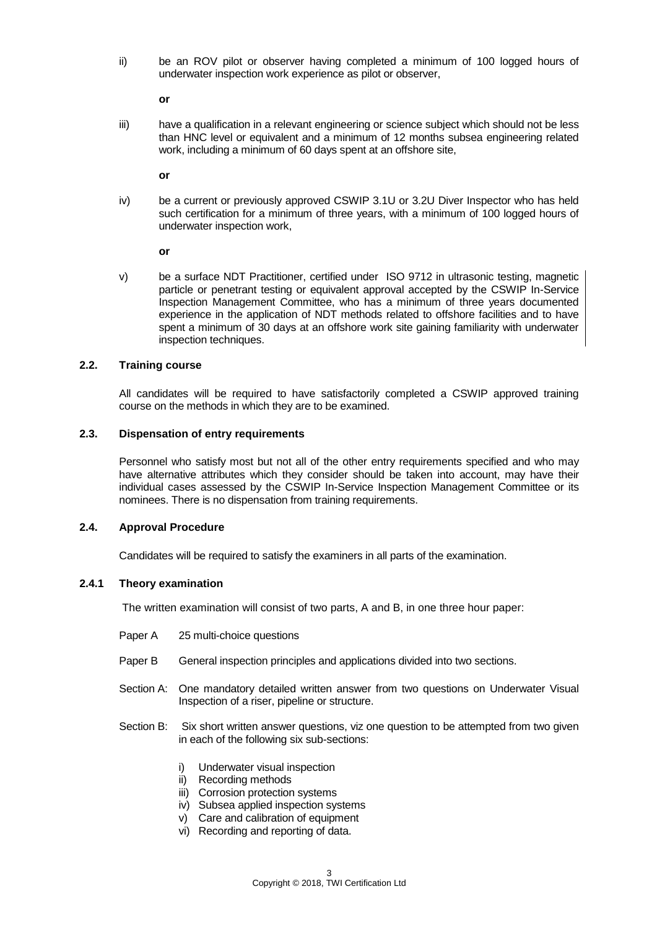ii) be an ROV pilot or observer having completed a minimum of 100 logged hours of underwater inspection work experience as pilot or observer,

**or**

iii) have a qualification in a relevant engineering or science subject which should not be less than HNC level or equivalent and a minimum of 12 months subsea engineering related work, including a minimum of 60 days spent at an offshore site,

**or**

iv) be a current or previously approved CSWIP 3.1U or 3.2U Diver Inspector who has held such certification for a minimum of three years, with a minimum of 100 logged hours of underwater inspection work,

**or**

v) be a surface NDT Practitioner, certified under ISO 9712 in ultrasonic testing, magnetic particle or penetrant testing or equivalent approval accepted by the CSWIP In-Service Inspection Management Committee, who has a minimum of three years documented experience in the application of NDT methods related to offshore facilities and to have spent a minimum of 30 days at an offshore work site gaining familiarity with underwater inspection techniques.

### **2.2. Training course**

All candidates will be required to have satisfactorily completed a CSWIP approved training course on the methods in which they are to be examined.

#### **2.3. Dispensation of entry requirements**

Personnel who satisfy most but not all of the other entry requirements specified and who may have alternative attributes which they consider should be taken into account, may have their individual cases assessed by the CSWIP In-Service Inspection Management Committee or its nominees. There is no dispensation from training requirements.

### **2.4. Approval Procedure**

Candidates will be required to satisfy the examiners in all parts of the examination.

#### **2.4.1 Theory examination**

The written examination will consist of two parts, A and B, in one three hour paper:

- Paper A 25 multi-choice questions
- Paper B General inspection principles and applications divided into two sections.
- Section A: One mandatory detailed written answer from two questions on Underwater Visual Inspection of a riser, pipeline or structure.
- Section B: Six short written answer questions, viz one question to be attempted from two given in each of the following six sub-sections:
	- i) Underwater visual inspection
	- ii) Recording methods
	- iii) Corrosion protection systems
	- iv) Subsea applied inspection systems
	- v) Care and calibration of equipment
	- vi) Recording and reporting of data.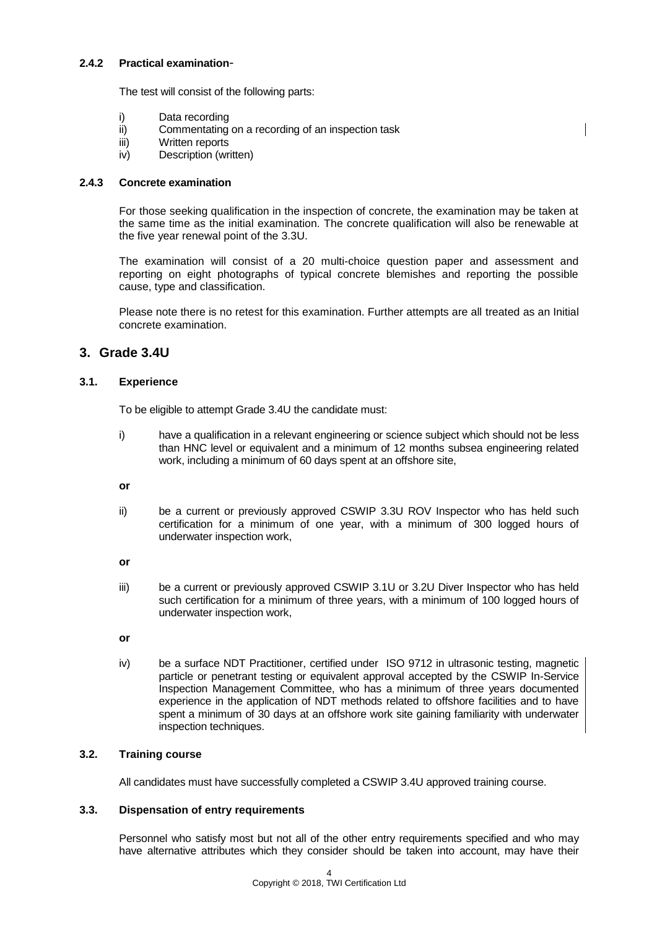### **2.4.2 Practical examination**-

The test will consist of the following parts:

- i) Data recording
- ii) Commentating on a recording of an inspection task
- iii) Written reports
- iv) Description (written)

### **2.4.3 Concrete examination**

For those seeking qualification in the inspection of concrete, the examination may be taken at the same time as the initial examination. The concrete qualification will also be renewable at the five year renewal point of the 3.3U.

The examination will consist of a 20 multi-choice question paper and assessment and reporting on eight photographs of typical concrete blemishes and reporting the possible cause, type and classification.

Please note there is no retest for this examination. Further attempts are all treated as an Initial concrete examination.

# **3. Grade 3.4U**

# **3.1. Experience**

To be eligible to attempt Grade 3.4U the candidate must:

i) have a qualification in a relevant engineering or science subject which should not be less than HNC level or equivalent and a minimum of 12 months subsea engineering related work, including a minimum of 60 days spent at an offshore site,

**or**

ii) be a current or previously approved CSWIP 3.3U ROV Inspector who has held such certification for a minimum of one year, with a minimum of 300 logged hours of underwater inspection work,

**or**

- iii) be a current or previously approved CSWIP 3.1U or 3.2U Diver Inspector who has held such certification for a minimum of three years, with a minimum of 100 logged hours of underwater inspection work,
- **or**
- iv) be a surface NDT Practitioner, certified under ISO 9712 in ultrasonic testing, magnetic particle or penetrant testing or equivalent approval accepted by the CSWIP In-Service Inspection Management Committee, who has a minimum of three years documented experience in the application of NDT methods related to offshore facilities and to have spent a minimum of 30 days at an offshore work site gaining familiarity with underwater inspection techniques.

# **3.2. Training course**

All candidates must have successfully completed a CSWIP 3.4U approved training course.

#### **3.3. Dispensation of entry requirements**

Personnel who satisfy most but not all of the other entry requirements specified and who may have alternative attributes which they consider should be taken into account, may have their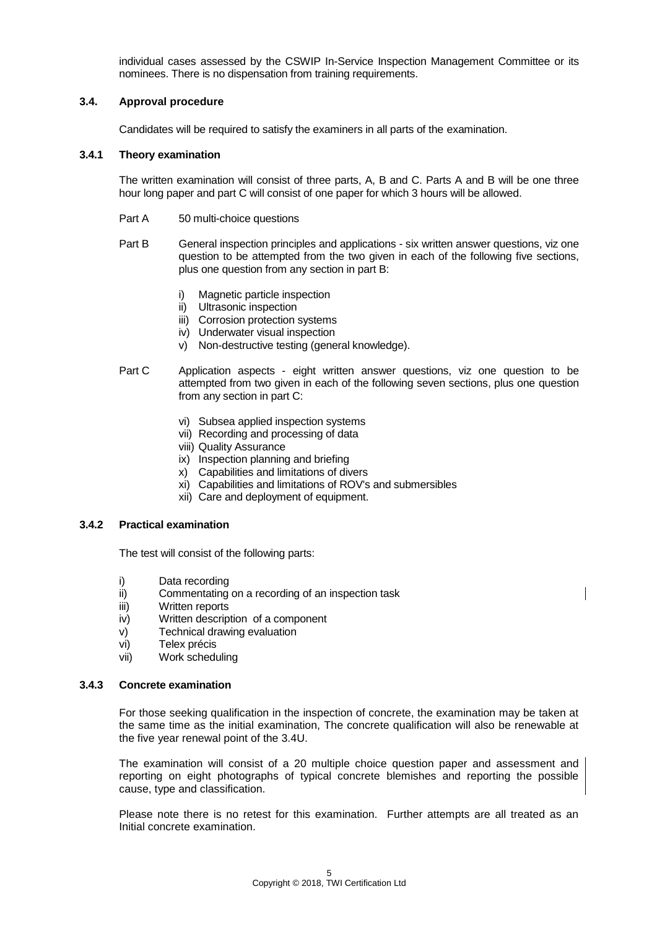individual cases assessed by the CSWIP In-Service Inspection Management Committee or its nominees. There is no dispensation from training requirements.

#### **3.4. Approval procedure**

Candidates will be required to satisfy the examiners in all parts of the examination.

#### **3.4.1 Theory examination**

The written examination will consist of three parts, A, B and C. Parts A and B will be one three hour long paper and part C will consist of one paper for which 3 hours will be allowed.

- Part A 50 multi-choice questions
- Part B General inspection principles and applications six written answer questions, viz one question to be attempted from the two given in each of the following five sections, plus one question from any section in part B:
	- i) Magnetic particle inspection
	- ii) Ultrasonic inspection
	- iii) Corrosion protection systems
	- iv) Underwater visual inspection
	- v) Non-destructive testing (general knowledge).
- Part C Application aspects eight written answer questions, viz one question to be attempted from two given in each of the following seven sections, plus one question from any section in part C:
	- vi) Subsea applied inspection systems
	- vii) Recording and processing of data
	- viii) Quality Assurance
	- ix) Inspection planning and briefing
	- x) Capabilities and limitations of divers
	- xi) Capabilities and limitations of ROV's and submersibles
	- xii) Care and deployment of equipment.

# **3.4.2 Practical examination**

The test will consist of the following parts:

- i) Data recording
- ii) Commentating on a recording of an inspection task
- iii) Written reports
- iv) Written description of a component
- v) Technical drawing evaluation
- vi) Telex précis
- vii) Work scheduling

#### **3.4.3 Concrete examination**

For those seeking qualification in the inspection of concrete, the examination may be taken at the same time as the initial examination, The concrete qualification will also be renewable at the five year renewal point of the 3.4U.

The examination will consist of a 20 multiple choice question paper and assessment and reporting on eight photographs of typical concrete blemishes and reporting the possible cause, type and classification.

Please note there is no retest for this examination. Further attempts are all treated as an Initial concrete examination.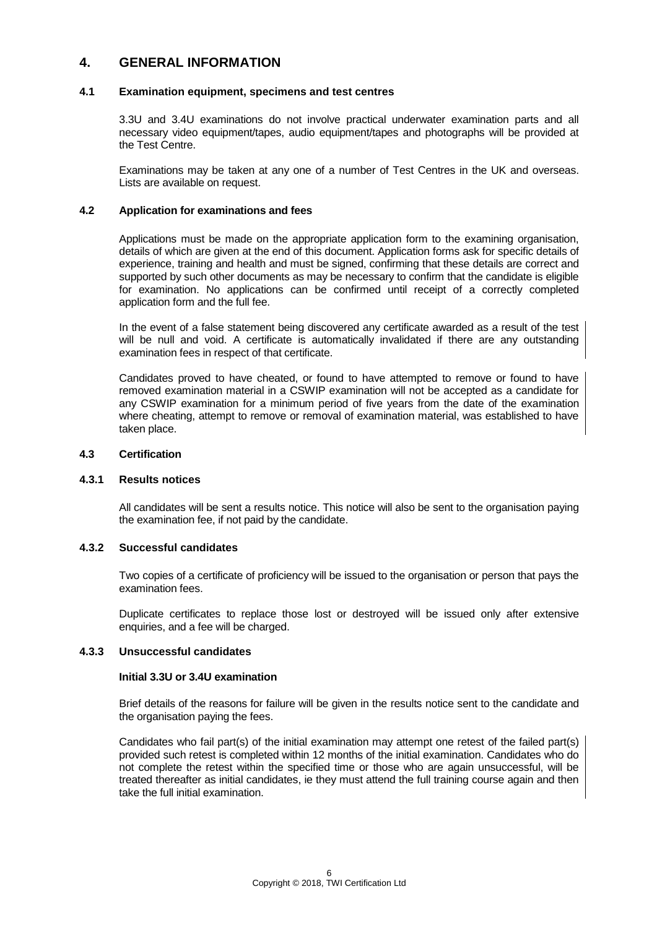# **4. GENERAL INFORMATION**

### **4.1 Examination equipment, specimens and test centres**

3.3U and 3.4U examinations do not involve practical underwater examination parts and all necessary video equipment/tapes, audio equipment/tapes and photographs will be provided at the Test Centre.

Examinations may be taken at any one of a number of Test Centres in the UK and overseas. Lists are available on request.

#### **4.2 Application for examinations and fees**

Applications must be made on the appropriate application form to the examining organisation, details of which are given at the end of this document. Application forms ask for specific details of experience, training and health and must be signed, confirming that these details are correct and supported by such other documents as may be necessary to confirm that the candidate is eligible for examination. No applications can be confirmed until receipt of a correctly completed application form and the full fee.

In the event of a false statement being discovered any certificate awarded as a result of the test will be null and void. A certificate is automatically invalidated if there are any outstanding examination fees in respect of that certificate.

Candidates proved to have cheated, or found to have attempted to remove or found to have removed examination material in a CSWIP examination will not be accepted as a candidate for any CSWIP examination for a minimum period of five years from the date of the examination where cheating, attempt to remove or removal of examination material, was established to have taken place.

#### **4.3 Certification**

#### **4.3.1 Results notices**

All candidates will be sent a results notice. This notice will also be sent to the organisation paying the examination fee, if not paid by the candidate.

# **4.3.2 Successful candidates**

Two copies of a certificate of proficiency will be issued to the organisation or person that pays the examination fees.

Duplicate certificates to replace those lost or destroyed will be issued only after extensive enquiries, and a fee will be charged.

#### **4.3.3 Unsuccessful candidates**

#### **Initial 3.3U or 3.4U examination**

Brief details of the reasons for failure will be given in the results notice sent to the candidate and the organisation paying the fees.

Candidates who fail part(s) of the initial examination may attempt one retest of the failed part(s) provided such retest is completed within 12 months of the initial examination. Candidates who do not complete the retest within the specified time or those who are again unsuccessful, will be treated thereafter as initial candidates, ie they must attend the full training course again and then take the full initial examination.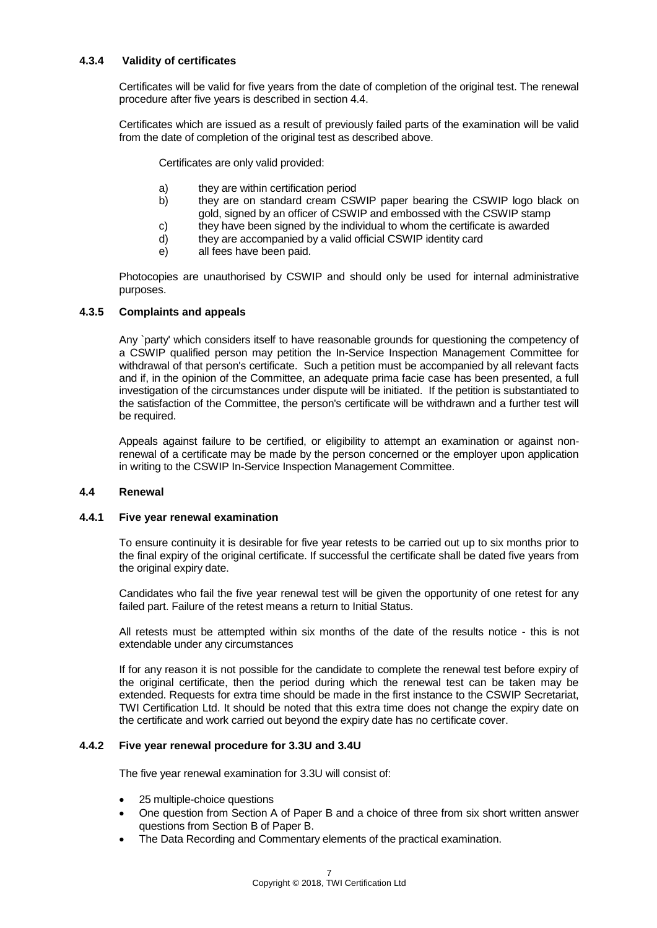# **4.3.4 Validity of certificates**

Certificates will be valid for five years from the date of completion of the original test. The renewal procedure after five years is described in section 4.4.

Certificates which are issued as a result of previously failed parts of the examination will be valid from the date of completion of the original test as described above.

Certificates are only valid provided:

- a) they are within certification period
- b) they are on standard cream CSWIP paper bearing the CSWIP logo black on gold, signed by an officer of CSWIP and embossed with the CSWIP stamp
- c) they have been signed by the individual to whom the certificate is awarded
- d) they are accompanied by a valid official CSWIP identity card
- e) all fees have been paid.

Photocopies are unauthorised by CSWIP and should only be used for internal administrative purposes.

#### **4.3.5 Complaints and appeals**

Any `party' which considers itself to have reasonable grounds for questioning the competency of a CSWIP qualified person may petition the In-Service Inspection Management Committee for withdrawal of that person's certificate. Such a petition must be accompanied by all relevant facts and if, in the opinion of the Committee, an adequate prima facie case has been presented, a full investigation of the circumstances under dispute will be initiated. If the petition is substantiated to the satisfaction of the Committee, the person's certificate will be withdrawn and a further test will be required.

Appeals against failure to be certified, or eligibility to attempt an examination or against nonrenewal of a certificate may be made by the person concerned or the employer upon application in writing to the CSWIP In-Service Inspection Management Committee.

#### **4.4 Renewal**

#### **4.4.1 Five year renewal examination**

To ensure continuity it is desirable for five year retests to be carried out up to six months prior to the final expiry of the original certificate. If successful the certificate shall be dated five years from the original expiry date.

Candidates who fail the five year renewal test will be given the opportunity of one retest for any failed part. Failure of the retest means a return to Initial Status.

All retests must be attempted within six months of the date of the results notice - this is not extendable under any circumstances

If for any reason it is not possible for the candidate to complete the renewal test before expiry of the original certificate, then the period during which the renewal test can be taken may be extended. Requests for extra time should be made in the first instance to the CSWIP Secretariat, TWI Certification Ltd. It should be noted that this extra time does not change the expiry date on the certificate and work carried out beyond the expiry date has no certificate cover.

#### **4.4.2 Five year renewal procedure for 3.3U and 3.4U**

The five year renewal examination for 3.3U will consist of:

- 25 multiple-choice questions
- One question from Section A of Paper B and a choice of three from six short written answer questions from Section B of Paper B.
- The Data Recording and Commentary elements of the practical examination.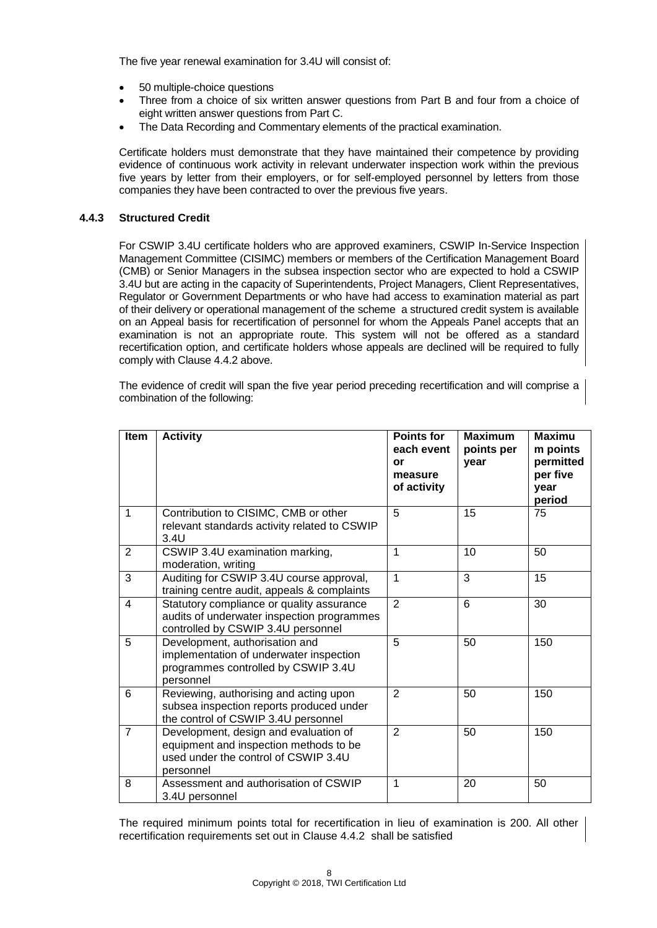The five year renewal examination for 3.4U will consist of:

- 50 multiple-choice questions
- Three from a choice of six written answer questions from Part B and four from a choice of eight written answer questions from Part C.
- The Data Recording and Commentary elements of the practical examination.

Certificate holders must demonstrate that they have maintained their competence by providing evidence of continuous work activity in relevant underwater inspection work within the previous five years by letter from their employers, or for self-employed personnel by letters from those companies they have been contracted to over the previous five years.

# **4.4.3 Structured Credit**

For CSWIP 3.4U certificate holders who are approved examiners, CSWIP In-Service Inspection Management Committee (CISIMC) members or members of the Certification Management Board (CMB) or Senior Managers in the subsea inspection sector who are expected to hold a CSWIP 3.4U but are acting in the capacity of Superintendents, Project Managers, Client Representatives, Regulator or Government Departments or who have had access to examination material as part of their delivery or operational management of the scheme a structured credit system is available on an Appeal basis for recertification of personnel for whom the Appeals Panel accepts that an examination is not an appropriate route. This system will not be offered as a standard recertification option, and certificate holders whose appeals are declined will be required to fully comply with Clause 4.4.2 above.

The evidence of credit will span the five year period preceding recertification and will comprise a combination of the following:

| Item           | <b>Activity</b>                                                                                                                      | <b>Points for</b><br>each event<br>or<br>measure<br>of activity | <b>Maximum</b><br>points per<br>year | <b>Maximu</b><br>m points<br>permitted<br>per five<br>year<br>period |
|----------------|--------------------------------------------------------------------------------------------------------------------------------------|-----------------------------------------------------------------|--------------------------------------|----------------------------------------------------------------------|
| $\mathbf{1}$   | Contribution to CISIMC, CMB or other<br>relevant standards activity related to CSWIP<br>3.4U                                         | 5                                                               | 15                                   | 75                                                                   |
| $\overline{2}$ | CSWIP 3.4U examination marking,<br>moderation, writing                                                                               | 1                                                               | 10                                   | 50                                                                   |
| 3              | Auditing for CSWIP 3.4U course approval,<br>training centre audit, appeals & complaints                                              | $\mathbf{1}$                                                    | 3                                    | 15                                                                   |
| $\overline{4}$ | Statutory compliance or quality assurance<br>audits of underwater inspection programmes<br>controlled by CSWIP 3.4U personnel        | $\overline{2}$                                                  | 6                                    | 30                                                                   |
| 5              | Development, authorisation and<br>implementation of underwater inspection<br>programmes controlled by CSWIP 3.4U<br>personnel        | 5                                                               | 50                                   | 150                                                                  |
| 6              | Reviewing, authorising and acting upon<br>subsea inspection reports produced under<br>the control of CSWIP 3.4U personnel            | $\overline{2}$                                                  | 50                                   | 150                                                                  |
| $\overline{7}$ | Development, design and evaluation of<br>equipment and inspection methods to be<br>used under the control of CSWIP 3.4U<br>personnel | $\overline{2}$                                                  | 50                                   | 150                                                                  |
| 8              | Assessment and authorisation of CSWIP<br>3.4U personnel                                                                              | 1                                                               | 20                                   | 50                                                                   |

The required minimum points total for recertification in lieu of examination is 200. All other recertification requirements set out in Clause 4.4.2 shall be satisfied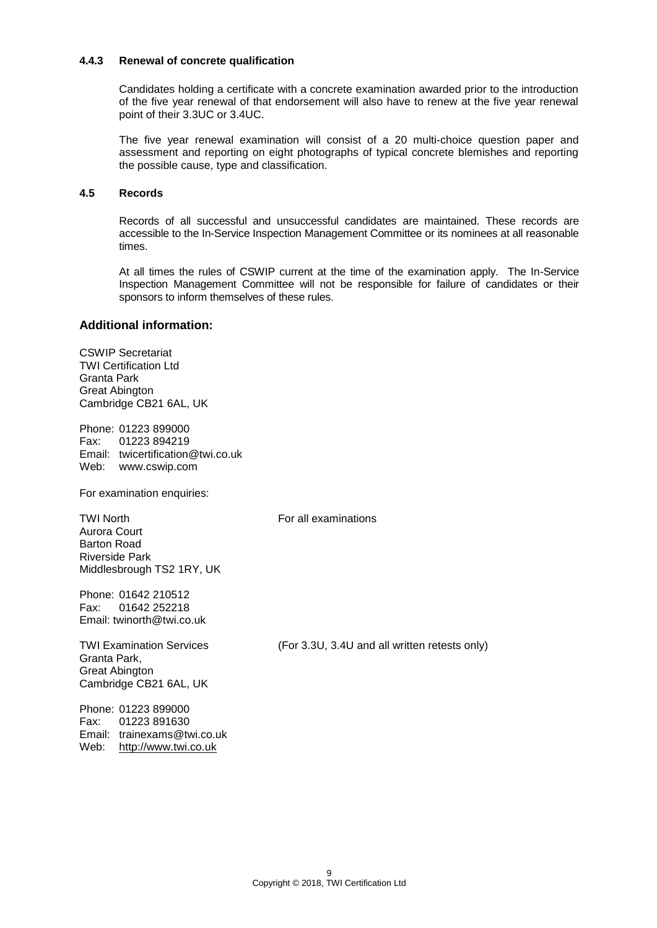#### **4.4.3 Renewal of concrete qualification**

Candidates holding a certificate with a concrete examination awarded prior to the introduction of the five year renewal of that endorsement will also have to renew at the five year renewal point of their 3.3UC or 3.4UC.

The five year renewal examination will consist of a 20 multi-choice question paper and assessment and reporting on eight photographs of typical concrete blemishes and reporting the possible cause, type and classification.

### **4.5 Records**

Records of all successful and unsuccessful candidates are maintained. These records are accessible to the In-Service Inspection Management Committee or its nominees at all reasonable times.

At all times the rules of CSWIP current at the time of the examination apply. The In-Service Inspection Management Committee will not be responsible for failure of candidates or their sponsors to inform themselves of these rules.

# **Additional information:**

CSWIP Secretariat TWI Certification Ltd Granta Park Great Abington Cambridge CB21 6AL, UK

Phone: 01223 899000 Fax: 01223 894219 Email: twicertification@twi.co.uk Web: www.cswip.com

For examination enquiries:

TWI North **For all examinations** Aurora Court Barton Road Riverside Park Middlesbrough TS2 1RY, UK

Phone: 01642 210512 Fax: 01642 252218 Email: twinorth@twi.co.uk

Granta Park, Great Abington Cambridge CB21 6AL, UK

Phone: 01223 899000 Fax: 01223 891630 Email: trainexams@twi.co.uk Web: [http://www.twi.co.uk](http://www.twi.co.uk/)

TWI Examination Services (For 3.3U, 3.4U and all written retests only)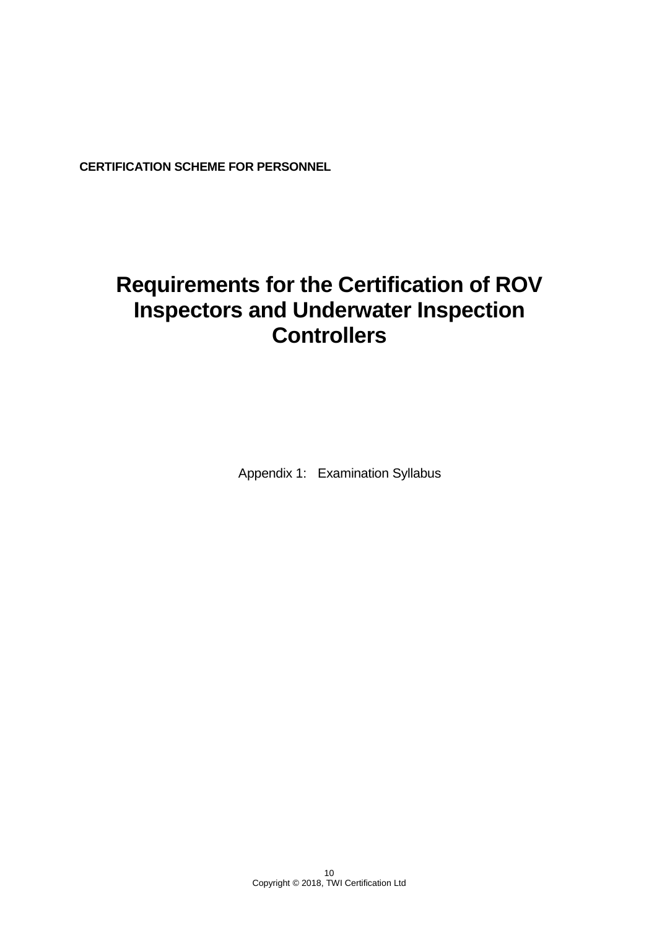**CERTIFICATION SCHEME FOR PERSONNEL**

# **Requirements for the Certification of ROV Inspectors and Underwater Inspection Controllers**

Appendix 1: Examination Syllabus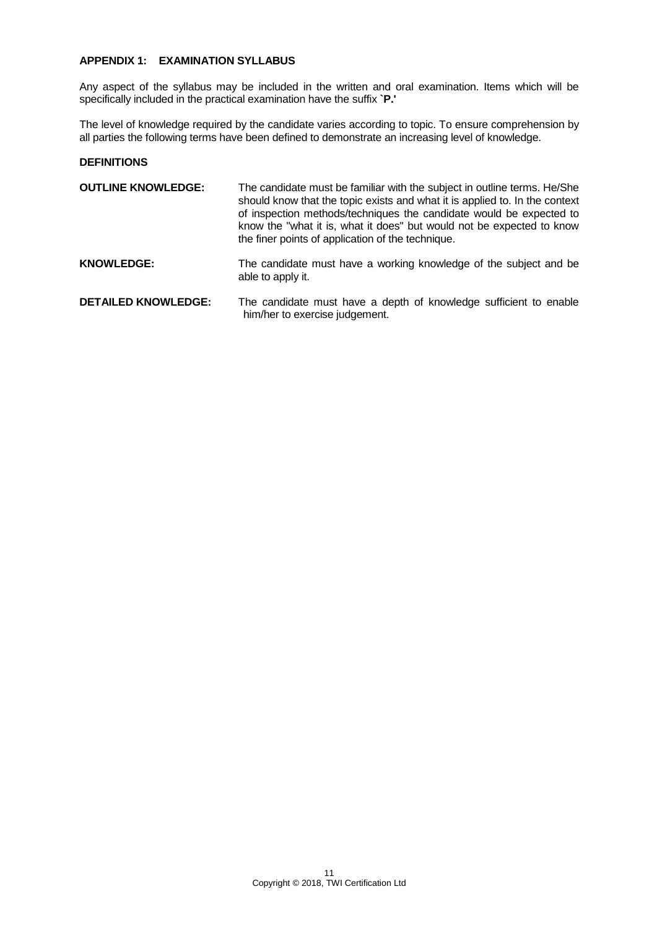# **APPENDIX 1: EXAMINATION SYLLABUS**

Any aspect of the syllabus may be included in the written and oral examination. Items which will be specifically included in the practical examination have the suffix **`P.'**

The level of knowledge required by the candidate varies according to topic. To ensure comprehension by all parties the following terms have been defined to demonstrate an increasing level of knowledge.

#### **DEFINITIONS**

| <b>OUTLINE KNOWLEDGE:</b>  | The candidate must be familiar with the subject in outline terms. He/She<br>should know that the topic exists and what it is applied to. In the context<br>of inspection methods/techniques the candidate would be expected to<br>know the "what it is, what it does" but would not be expected to know<br>the finer points of application of the technique. |
|----------------------------|--------------------------------------------------------------------------------------------------------------------------------------------------------------------------------------------------------------------------------------------------------------------------------------------------------------------------------------------------------------|
| <b>KNOWLEDGE:</b>          | The candidate must have a working knowledge of the subject and be<br>able to apply it.                                                                                                                                                                                                                                                                       |
| <b>DETAILED KNOWLEDGE:</b> | The candidate must have a depth of knowledge sufficient to enable<br>him/her to exercise judgement.                                                                                                                                                                                                                                                          |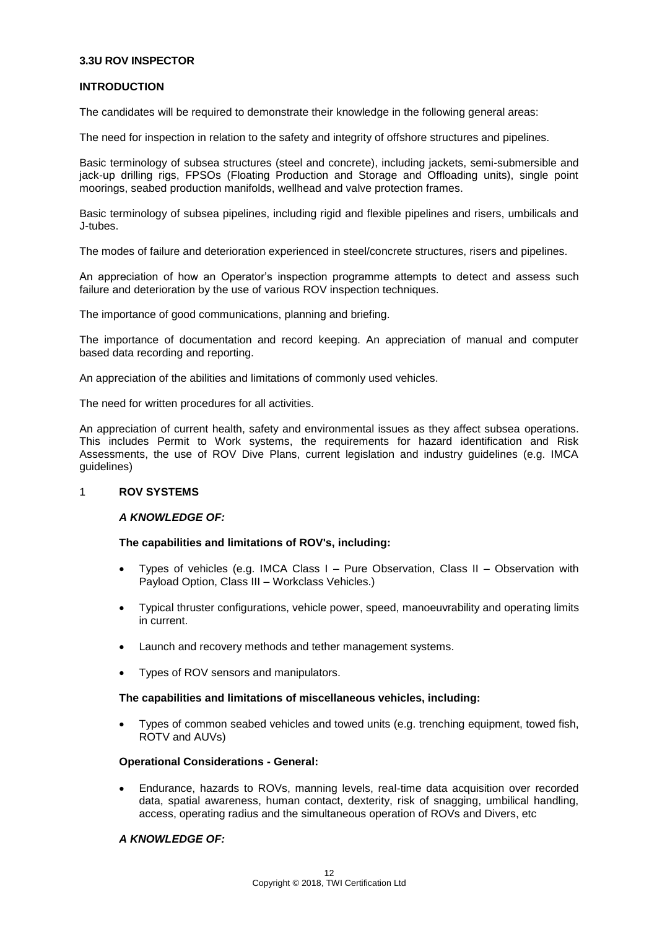# **3.3U ROV INSPECTOR**

#### **INTRODUCTION**

The candidates will be required to demonstrate their knowledge in the following general areas:

The need for inspection in relation to the safety and integrity of offshore structures and pipelines.

Basic terminology of subsea structures (steel and concrete), including jackets, semi-submersible and jack-up drilling rigs, FPSOs (Floating Production and Storage and Offloading units), single point moorings, seabed production manifolds, wellhead and valve protection frames.

Basic terminology of subsea pipelines, including rigid and flexible pipelines and risers, umbilicals and J-tubes.

The modes of failure and deterioration experienced in steel/concrete structures, risers and pipelines.

An appreciation of how an Operator's inspection programme attempts to detect and assess such failure and deterioration by the use of various ROV inspection techniques.

The importance of good communications, planning and briefing.

The importance of documentation and record keeping. An appreciation of manual and computer based data recording and reporting.

An appreciation of the abilities and limitations of commonly used vehicles.

The need for written procedures for all activities.

An appreciation of current health, safety and environmental issues as they affect subsea operations. This includes Permit to Work systems, the requirements for hazard identification and Risk Assessments, the use of ROV Dive Plans, current legislation and industry guidelines (e.g. IMCA guidelines)

#### 1 **ROV SYSTEMS**

#### *A KNOWLEDGE OF:*

#### **The capabilities and limitations of ROV's, including:**

- Types of vehicles (e.g. IMCA Class I Pure Observation, Class II Observation with Payload Option, Class III – Workclass Vehicles.)
- Typical thruster configurations, vehicle power, speed, manoeuvrability and operating limits in current.
- Launch and recovery methods and tether management systems.
- Types of ROV sensors and manipulators.

#### **The capabilities and limitations of miscellaneous vehicles, including:**

 Types of common seabed vehicles and towed units (e.g. trenching equipment, towed fish, ROTV and AUVs)

#### **Operational Considerations - General:**

 Endurance, hazards to ROVs, manning levels, real-time data acquisition over recorded data, spatial awareness, human contact, dexterity, risk of snagging, umbilical handling, access, operating radius and the simultaneous operation of ROVs and Divers, etc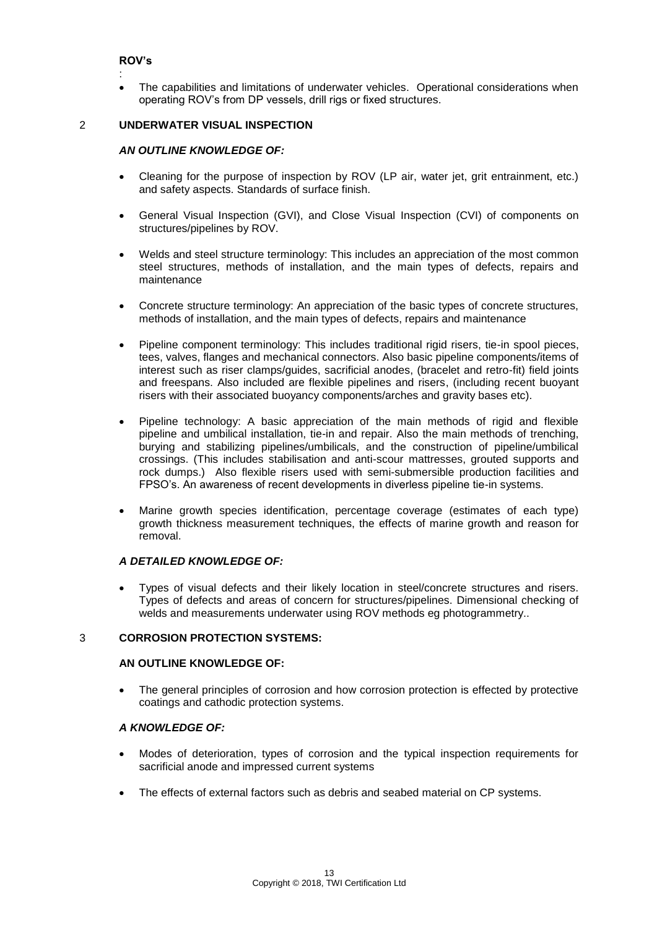# **ROV's**

: The capabilities and limitations of underwater vehicles. Operational considerations when operating ROV's from DP vessels, drill rigs or fixed structures.

### 2 **UNDERWATER VISUAL INSPECTION**

# *AN OUTLINE KNOWLEDGE OF:*

- Cleaning for the purpose of inspection by ROV (LP air, water jet, grit entrainment, etc.) and safety aspects. Standards of surface finish.
- General Visual Inspection (GVI), and Close Visual Inspection (CVI) of components on structures/pipelines by ROV.
- Welds and steel structure terminology: This includes an appreciation of the most common steel structures, methods of installation, and the main types of defects, repairs and maintenance
- Concrete structure terminology: An appreciation of the basic types of concrete structures, methods of installation, and the main types of defects, repairs and maintenance
- Pipeline component terminology: This includes traditional rigid risers, tie-in spool pieces, tees, valves, flanges and mechanical connectors. Also basic pipeline components/items of interest such as riser clamps/guides, sacrificial anodes, (bracelet and retro-fit) field joints and freespans. Also included are flexible pipelines and risers, (including recent buoyant risers with their associated buoyancy components/arches and gravity bases etc).
- Pipeline technology: A basic appreciation of the main methods of rigid and flexible pipeline and umbilical installation, tie-in and repair. Also the main methods of trenching, burying and stabilizing pipelines/umbilicals, and the construction of pipeline/umbilical crossings. (This includes stabilisation and anti-scour mattresses, grouted supports and rock dumps.) Also flexible risers used with semi-submersible production facilities and FPSO's. An awareness of recent developments in diverless pipeline tie-in systems.
- Marine growth species identification, percentage coverage (estimates of each type) growth thickness measurement techniques, the effects of marine growth and reason for removal.

# *A DETAILED KNOWLEDGE OF:*

 Types of visual defects and their likely location in steel/concrete structures and risers. Types of defects and areas of concern for structures/pipelines. Dimensional checking of welds and measurements underwater using ROV methods eg photogrammetry..

# 3 **CORROSION PROTECTION SYSTEMS:**

### **AN OUTLINE KNOWLEDGE OF:**

 The general principles of corrosion and how corrosion protection is effected by protective coatings and cathodic protection systems.

- Modes of deterioration, types of corrosion and the typical inspection requirements for sacrificial anode and impressed current systems
- The effects of external factors such as debris and seabed material on CP systems.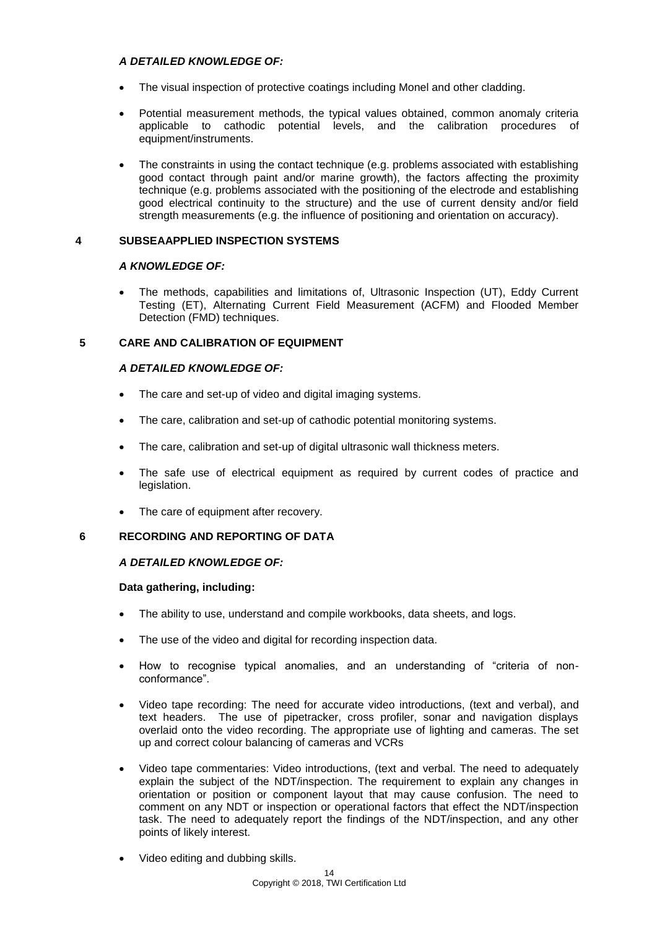# *A DETAILED KNOWLEDGE OF:*

- The visual inspection of protective coatings including Monel and other cladding.
- Potential measurement methods, the typical values obtained, common anomaly criteria applicable to cathodic potential levels, and the calibration procedures of equipment/instruments.
- The constraints in using the contact technique (e.g. problems associated with establishing good contact through paint and/or marine growth), the factors affecting the proximity technique (e.g. problems associated with the positioning of the electrode and establishing good electrical continuity to the structure) and the use of current density and/or field strength measurements (e.g. the influence of positioning and orientation on accuracy).

### **4 SUBSEAAPPLIED INSPECTION SYSTEMS**

#### *A KNOWLEDGE OF:*

 The methods, capabilities and limitations of, Ultrasonic Inspection (UT), Eddy Current Testing (ET), Alternating Current Field Measurement (ACFM) and Flooded Member Detection (FMD) techniques.

# **5 CARE AND CALIBRATION OF EQUIPMENT**

# *A DETAILED KNOWLEDGE OF:*

- The care and set-up of video and digital imaging systems.
- The care, calibration and set-up of cathodic potential monitoring systems.
- The care, calibration and set-up of digital ultrasonic wall thickness meters.
- The safe use of electrical equipment as required by current codes of practice and legislation.
- The care of equipment after recovery.

# **6 RECORDING AND REPORTING OF DATA**

# *A DETAILED KNOWLEDGE OF:*

#### **Data gathering, including:**

- The ability to use, understand and compile workbooks, data sheets, and logs.
- The use of the video and digital for recording inspection data.
- How to recognise typical anomalies, and an understanding of "criteria of nonconformance".
- Video tape recording: The need for accurate video introductions, (text and verbal), and text headers. The use of pipetracker, cross profiler, sonar and navigation displays overlaid onto the video recording. The appropriate use of lighting and cameras. The set up and correct colour balancing of cameras and VCRs
- Video tape commentaries: Video introductions, (text and verbal. The need to adequately explain the subject of the NDT/inspection. The requirement to explain any changes in orientation or position or component layout that may cause confusion. The need to comment on any NDT or inspection or operational factors that effect the NDT/inspection task. The need to adequately report the findings of the NDT/inspection, and any other points of likely interest.
- Video editing and dubbing skills.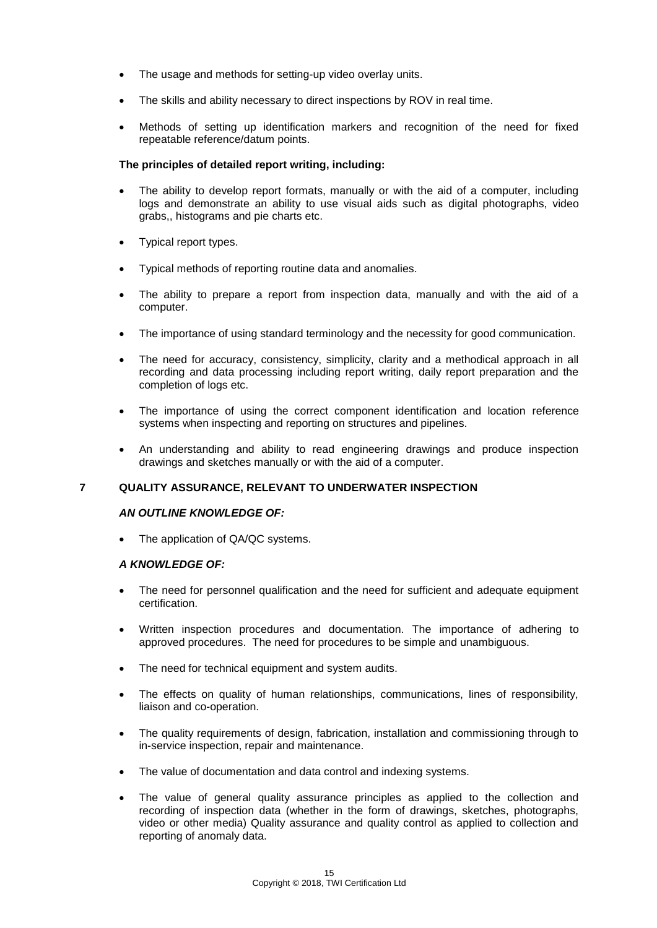- The usage and methods for setting-up video overlay units.
- The skills and ability necessary to direct inspections by ROV in real time.
- Methods of setting up identification markers and recognition of the need for fixed repeatable reference/datum points.

#### **The principles of detailed report writing, including:**

- The ability to develop report formats, manually or with the aid of a computer, including logs and demonstrate an ability to use visual aids such as digital photographs, video grabs,, histograms and pie charts etc.
- Typical report types.
- Typical methods of reporting routine data and anomalies.
- The ability to prepare a report from inspection data, manually and with the aid of a computer.
- The importance of using standard terminology and the necessity for good communication.
- The need for accuracy, consistency, simplicity, clarity and a methodical approach in all recording and data processing including report writing, daily report preparation and the completion of logs etc.
- The importance of using the correct component identification and location reference systems when inspecting and reporting on structures and pipelines.
- An understanding and ability to read engineering drawings and produce inspection drawings and sketches manually or with the aid of a computer.

# **7 QUALITY ASSURANCE, RELEVANT TO UNDERWATER INSPECTION**

#### *AN OUTLINE KNOWLEDGE OF:*

• The application of QA/QC systems.

- The need for personnel qualification and the need for sufficient and adequate equipment certification.
- Written inspection procedures and documentation. The importance of adhering to approved procedures. The need for procedures to be simple and unambiguous.
- The need for technical equipment and system audits.
- The effects on quality of human relationships, communications, lines of responsibility, liaison and co-operation.
- The quality requirements of design, fabrication, installation and commissioning through to in-service inspection, repair and maintenance.
- The value of documentation and data control and indexing systems.
- The value of general quality assurance principles as applied to the collection and recording of inspection data (whether in the form of drawings, sketches, photographs, video or other media) Quality assurance and quality control as applied to collection and reporting of anomaly data.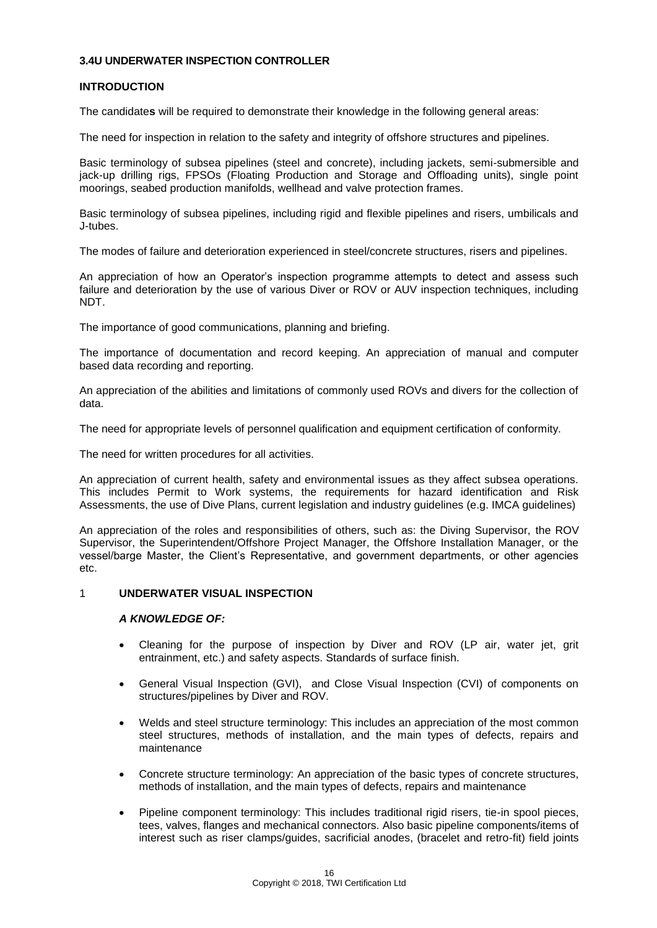# **3.4U UNDERWATER INSPECTION CONTROLLER**

#### **INTRODUCTION**

The candidate**s** will be required to demonstrate their knowledge in the following general areas:

The need for inspection in relation to the safety and integrity of offshore structures and pipelines.

Basic terminology of subsea pipelines (steel and concrete), including jackets, semi-submersible and jack-up drilling rigs, FPSOs (Floating Production and Storage and Offloading units), single point moorings, seabed production manifolds, wellhead and valve protection frames.

Basic terminology of subsea pipelines, including rigid and flexible pipelines and risers, umbilicals and J-tubes.

The modes of failure and deterioration experienced in steel/concrete structures, risers and pipelines.

An appreciation of how an Operator's inspection programme attempts to detect and assess such failure and deterioration by the use of various Diver or ROV or AUV inspection techniques, including NDT.

The importance of good communications, planning and briefing.

The importance of documentation and record keeping. An appreciation of manual and computer based data recording and reporting.

An appreciation of the abilities and limitations of commonly used ROVs and divers for the collection of data.

The need for appropriate levels of personnel qualification and equipment certification of conformity.

The need for written procedures for all activities.

An appreciation of current health, safety and environmental issues as they affect subsea operations. This includes Permit to Work systems, the requirements for hazard identification and Risk Assessments, the use of Dive Plans, current legislation and industry guidelines (e.g. IMCA guidelines)

An appreciation of the roles and responsibilities of others, such as: the Diving Supervisor, the ROV Supervisor, the Superintendent/Offshore Project Manager, the Offshore Installation Manager, or the vessel/barge Master, the Client's Representative, and government departments, or other agencies etc.

#### 1 **UNDERWATER VISUAL INSPECTION**

- Cleaning for the purpose of inspection by Diver and ROV (LP air, water jet, grit entrainment, etc.) and safety aspects. Standards of surface finish.
- General Visual Inspection (GVI), and Close Visual Inspection (CVI) of components on structures/pipelines by Diver and ROV.
- Welds and steel structure terminology: This includes an appreciation of the most common steel structures, methods of installation, and the main types of defects, repairs and maintenance
- Concrete structure terminology: An appreciation of the basic types of concrete structures, methods of installation, and the main types of defects, repairs and maintenance
- Pipeline component terminology: This includes traditional rigid risers, tie-in spool pieces, tees, valves, flanges and mechanical connectors. Also basic pipeline components/items of interest such as riser clamps/guides, sacrificial anodes, (bracelet and retro-fit) field joints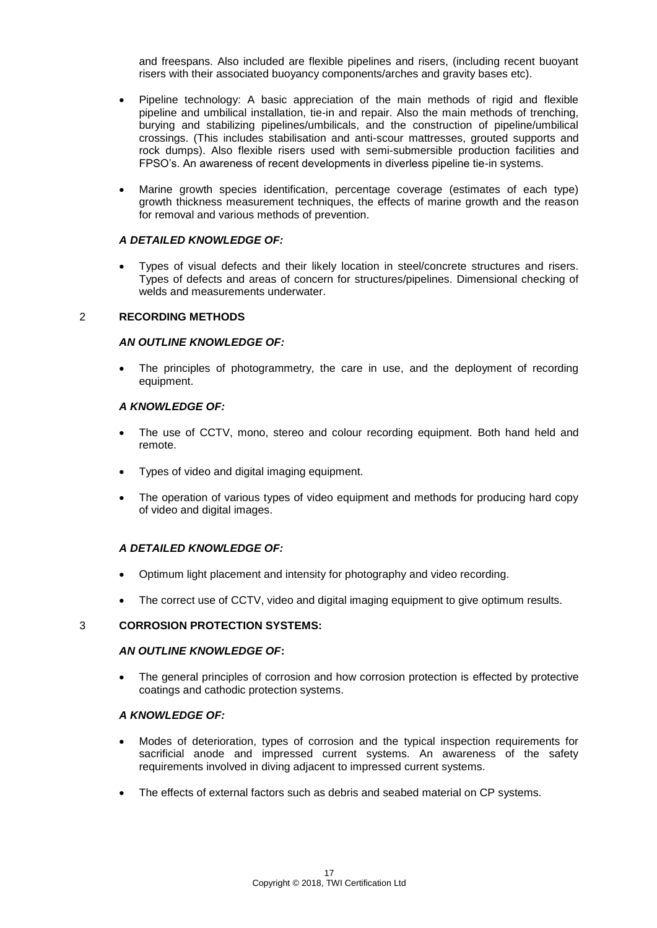and freespans. Also included are flexible pipelines and risers, (including recent buoyant risers with their associated buoyancy components/arches and gravity bases etc).

- Pipeline technology: A basic appreciation of the main methods of rigid and flexible pipeline and umbilical installation, tie-in and repair. Also the main methods of trenching, burying and stabilizing pipelines/umbilicals, and the construction of pipeline/umbilical crossings. (This includes stabilisation and anti-scour mattresses, grouted supports and rock dumps). Also flexible risers used with semi-submersible production facilities and FPSO's. An awareness of recent developments in diverless pipeline tie-in systems.
- Marine growth species identification, percentage coverage (estimates of each type) growth thickness measurement techniques, the effects of marine growth and the reason for removal and various methods of prevention.

# *A DETAILED KNOWLEDGE OF:*

 Types of visual defects and their likely location in steel/concrete structures and risers. Types of defects and areas of concern for structures/pipelines. Dimensional checking of welds and measurements underwater.

# 2 **RECORDING METHODS**

# *AN OUTLINE KNOWLEDGE OF:*

 The principles of photogrammetry, the care in use, and the deployment of recording equipment.

### *A KNOWLEDGE OF:*

- The use of CCTV, mono, stereo and colour recording equipment. Both hand held and remote.
- Types of video and digital imaging equipment.
- The operation of various types of video equipment and methods for producing hard copy of video and digital images.

# *A DETAILED KNOWLEDGE OF:*

- Optimum light placement and intensity for photography and video recording.
- The correct use of CCTV, video and digital imaging equipment to give optimum results.

#### 3 **CORROSION PROTECTION SYSTEMS:**

# *AN OUTLINE KNOWLEDGE OF***:**

 The general principles of corrosion and how corrosion protection is effected by protective coatings and cathodic protection systems.

- Modes of deterioration, types of corrosion and the typical inspection requirements for sacrificial anode and impressed current systems. An awareness of the safety requirements involved in diving adjacent to impressed current systems.
- The effects of external factors such as debris and seabed material on CP systems.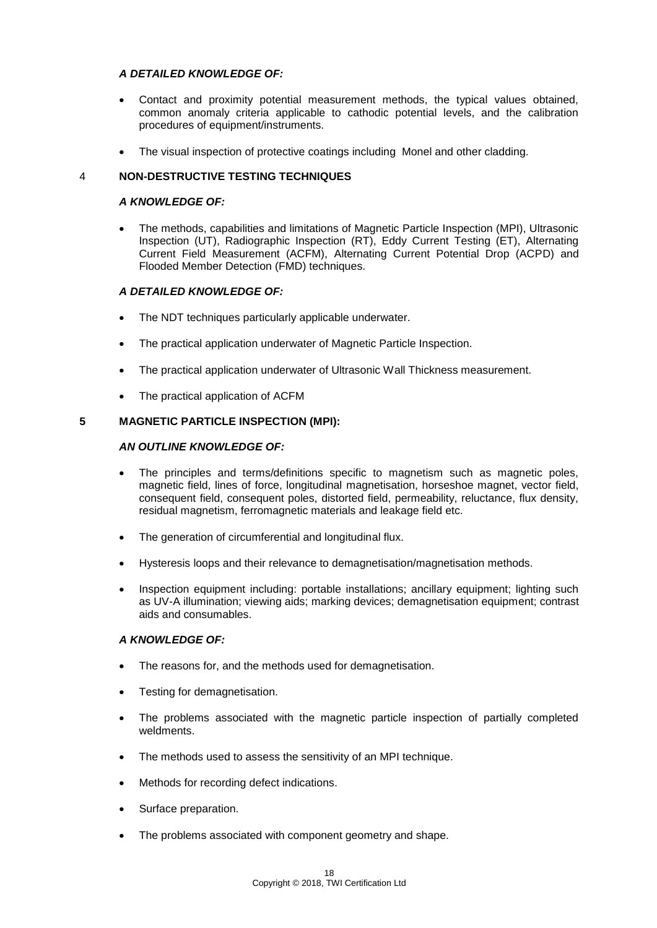# *A DETAILED KNOWLEDGE OF:*

- Contact and proximity potential measurement methods, the typical values obtained, common anomaly criteria applicable to cathodic potential levels, and the calibration procedures of equipment/instruments.
- The visual inspection of protective coatings including Monel and other cladding.

# 4 **NON-DESTRUCTIVE TESTING TECHNIQUES**

### *A KNOWLEDGE OF:*

 The methods, capabilities and limitations of Magnetic Particle Inspection (MPI), Ultrasonic Inspection (UT), Radiographic Inspection (RT), Eddy Current Testing (ET), Alternating Current Field Measurement (ACFM), Alternating Current Potential Drop (ACPD) and Flooded Member Detection (FMD) techniques.

# *A DETAILED KNOWLEDGE OF:*

- The NDT techniques particularly applicable underwater.
- The practical application underwater of Magnetic Particle Inspection.
- The practical application underwater of Ultrasonic Wall Thickness measurement.
- The practical application of ACFM

### **5 MAGNETIC PARTICLE INSPECTION (MPI):**

# *AN OUTLINE KNOWLEDGE OF:*

- The principles and terms/definitions specific to magnetism such as magnetic poles, magnetic field, lines of force, longitudinal magnetisation, horseshoe magnet, vector field, consequent field, consequent poles, distorted field, permeability, reluctance, flux density, residual magnetism, ferromagnetic materials and leakage field etc.
- The generation of circumferential and longitudinal flux.
- Hysteresis loops and their relevance to demagnetisation/magnetisation methods.
- Inspection equipment including: portable installations; ancillary equipment; lighting such as UV-A illumination; viewing aids; marking devices; demagnetisation equipment; contrast aids and consumables.

- The reasons for, and the methods used for demagnetisation.
- Testing for demagnetisation.
- The problems associated with the magnetic particle inspection of partially completed weldments.
- The methods used to assess the sensitivity of an MPI technique.
- Methods for recording defect indications.
- Surface preparation.
- The problems associated with component geometry and shape.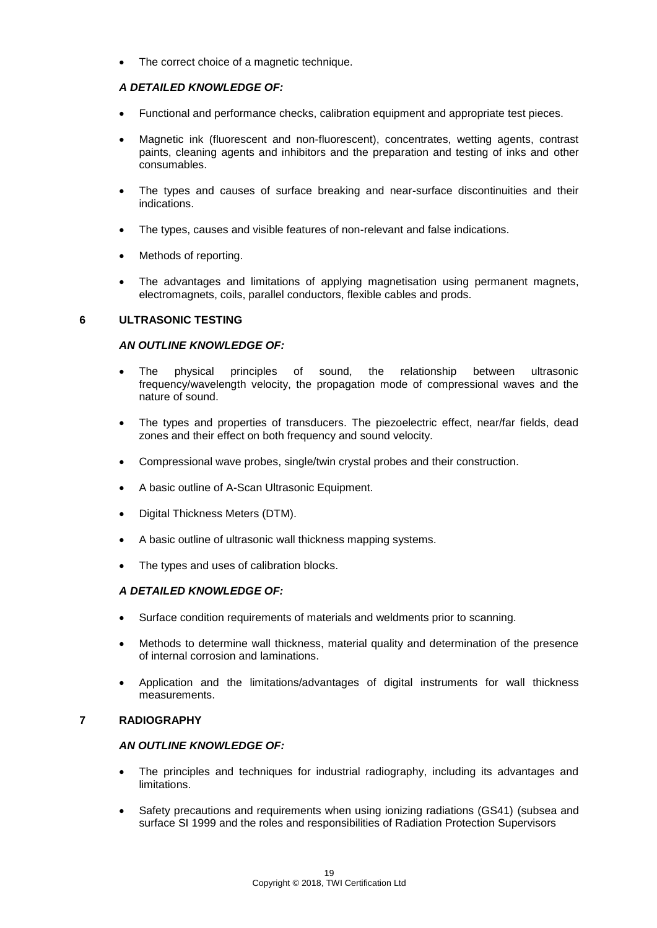The correct choice of a magnetic technique.

# *A DETAILED KNOWLEDGE OF:*

- Functional and performance checks, calibration equipment and appropriate test pieces.
- Magnetic ink (fluorescent and non-fluorescent), concentrates, wetting agents, contrast paints, cleaning agents and inhibitors and the preparation and testing of inks and other consumables.
- The types and causes of surface breaking and near-surface discontinuities and their indications.
- The types, causes and visible features of non-relevant and false indications.
- Methods of reporting.
- The advantages and limitations of applying magnetisation using permanent magnets, electromagnets, coils, parallel conductors, flexible cables and prods.

### **6 ULTRASONIC TESTING**

### *AN OUTLINE KNOWLEDGE OF:*

- The physical principles of sound, the relationship between ultrasonic frequency/wavelength velocity, the propagation mode of compressional waves and the nature of sound.
- The types and properties of transducers. The piezoelectric effect, near/far fields, dead zones and their effect on both frequency and sound velocity.
- Compressional wave probes, single/twin crystal probes and their construction.
- A basic outline of A-Scan Ultrasonic Equipment.
- Digital Thickness Meters (DTM).
- A basic outline of ultrasonic wall thickness mapping systems.
- The types and uses of calibration blocks.

# *A DETAILED KNOWLEDGE OF:*

- Surface condition requirements of materials and weldments prior to scanning.
- Methods to determine wall thickness, material quality and determination of the presence of internal corrosion and laminations.
- Application and the limitations/advantages of digital instruments for wall thickness measurements.

### **7 RADIOGRAPHY**

#### *AN OUTLINE KNOWLEDGE OF:*

- The principles and techniques for industrial radiography, including its advantages and limitations.
- Safety precautions and requirements when using ionizing radiations (GS41) (subsea and surface SI 1999 and the roles and responsibilities of Radiation Protection Supervisors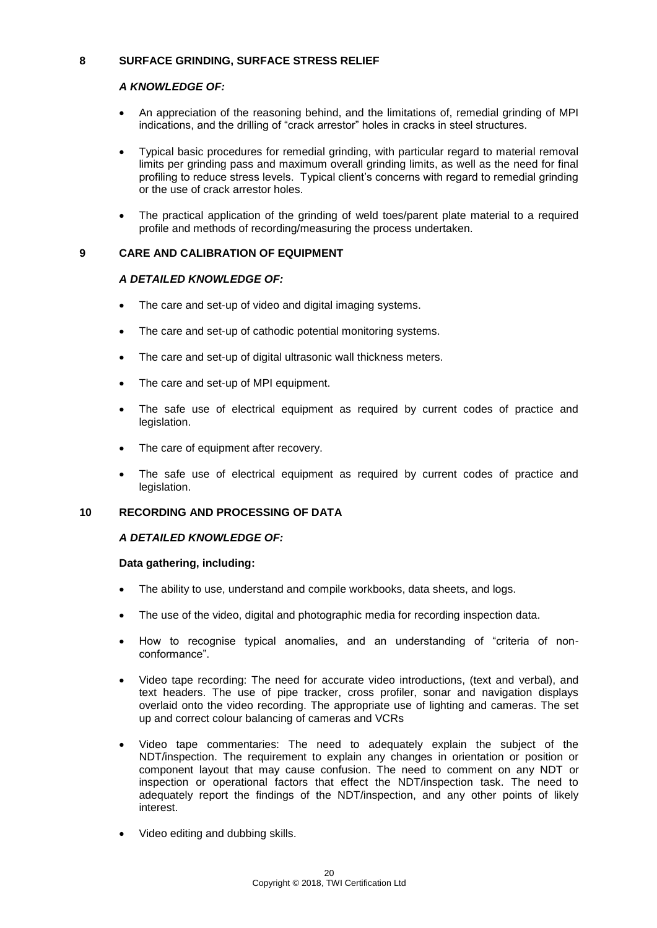# **8 SURFACE GRINDING, SURFACE STRESS RELIEF**

# *A KNOWLEDGE OF:*

- An appreciation of the reasoning behind, and the limitations of, remedial grinding of MPI indications, and the drilling of "crack arrestor" holes in cracks in steel structures.
- Typical basic procedures for remedial grinding, with particular regard to material removal limits per grinding pass and maximum overall grinding limits, as well as the need for final profiling to reduce stress levels. Typical client's concerns with regard to remedial grinding or the use of crack arrestor holes.
- The practical application of the grinding of weld toes/parent plate material to a required profile and methods of recording/measuring the process undertaken.

# **9 CARE AND CALIBRATION OF EQUIPMENT**

# *A DETAILED KNOWLEDGE OF:*

- The care and set-up of video and digital imaging systems.
- The care and set-up of cathodic potential monitoring systems.
- The care and set-up of digital ultrasonic wall thickness meters.
- The care and set-up of MPI equipment.
- The safe use of electrical equipment as required by current codes of practice and legislation.
- The care of equipment after recovery.
- The safe use of electrical equipment as required by current codes of practice and legislation.

# **10 RECORDING AND PROCESSING OF DATA**

# *A DETAILED KNOWLEDGE OF:*

# **Data gathering, including:**

- The ability to use, understand and compile workbooks, data sheets, and logs.
- The use of the video, digital and photographic media for recording inspection data.
- How to recognise typical anomalies, and an understanding of "criteria of nonconformance".
- Video tape recording: The need for accurate video introductions, (text and verbal), and text headers. The use of pipe tracker, cross profiler, sonar and navigation displays overlaid onto the video recording. The appropriate use of lighting and cameras. The set up and correct colour balancing of cameras and VCRs
- Video tape commentaries: The need to adequately explain the subject of the NDT/inspection. The requirement to explain any changes in orientation or position or component layout that may cause confusion. The need to comment on any NDT or inspection or operational factors that effect the NDT/inspection task. The need to adequately report the findings of the NDT/inspection, and any other points of likely interest.
- Video editing and dubbing skills.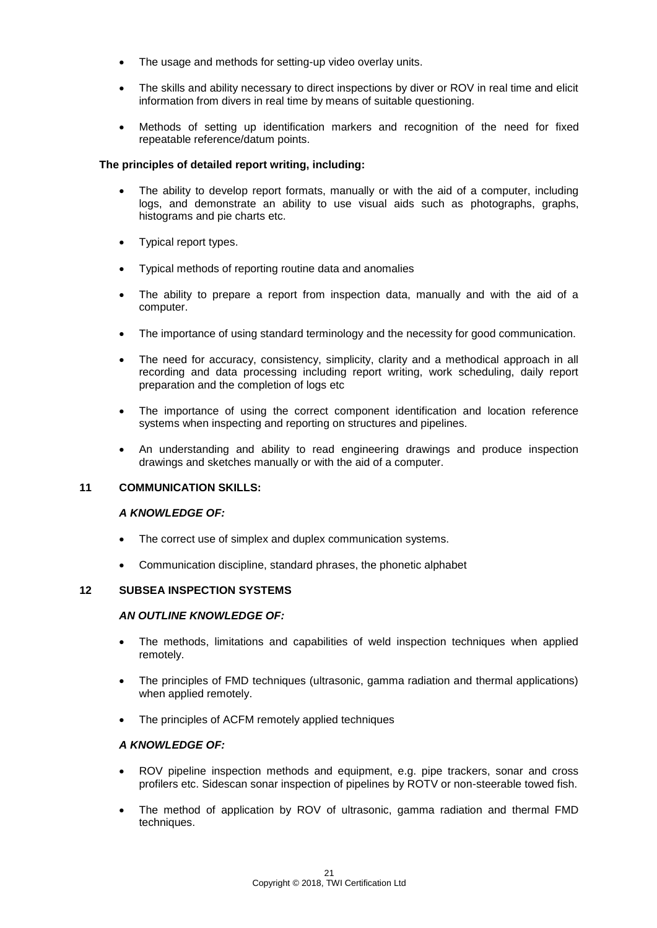- The usage and methods for setting-up video overlay units.
- The skills and ability necessary to direct inspections by diver or ROV in real time and elicit information from divers in real time by means of suitable questioning.
- Methods of setting up identification markers and recognition of the need for fixed repeatable reference/datum points.

# **The principles of detailed report writing, including:**

- The ability to develop report formats, manually or with the aid of a computer, including logs, and demonstrate an ability to use visual aids such as photographs, graphs, histograms and pie charts etc.
- Typical report types.
- Typical methods of reporting routine data and anomalies
- The ability to prepare a report from inspection data, manually and with the aid of a computer.
- The importance of using standard terminology and the necessity for good communication.
- The need for accuracy, consistency, simplicity, clarity and a methodical approach in all recording and data processing including report writing, work scheduling, daily report preparation and the completion of logs etc
- The importance of using the correct component identification and location reference systems when inspecting and reporting on structures and pipelines.
- An understanding and ability to read engineering drawings and produce inspection drawings and sketches manually or with the aid of a computer.

# **11 COMMUNICATION SKILLS:**

#### *A KNOWLEDGE OF:*

- The correct use of simplex and duplex communication systems.
- Communication discipline, standard phrases, the phonetic alphabet

#### **12 SUBSEA INSPECTION SYSTEMS**

#### *AN OUTLINE KNOWLEDGE OF:*

- The methods, limitations and capabilities of weld inspection techniques when applied remotely.
- The principles of FMD techniques (ultrasonic, gamma radiation and thermal applications) when applied remotely.
- The principles of ACFM remotely applied techniques

- ROV pipeline inspection methods and equipment, e.g. pipe trackers, sonar and cross profilers etc. Sidescan sonar inspection of pipelines by ROTV or non-steerable towed fish.
- The method of application by ROV of ultrasonic, gamma radiation and thermal FMD techniques.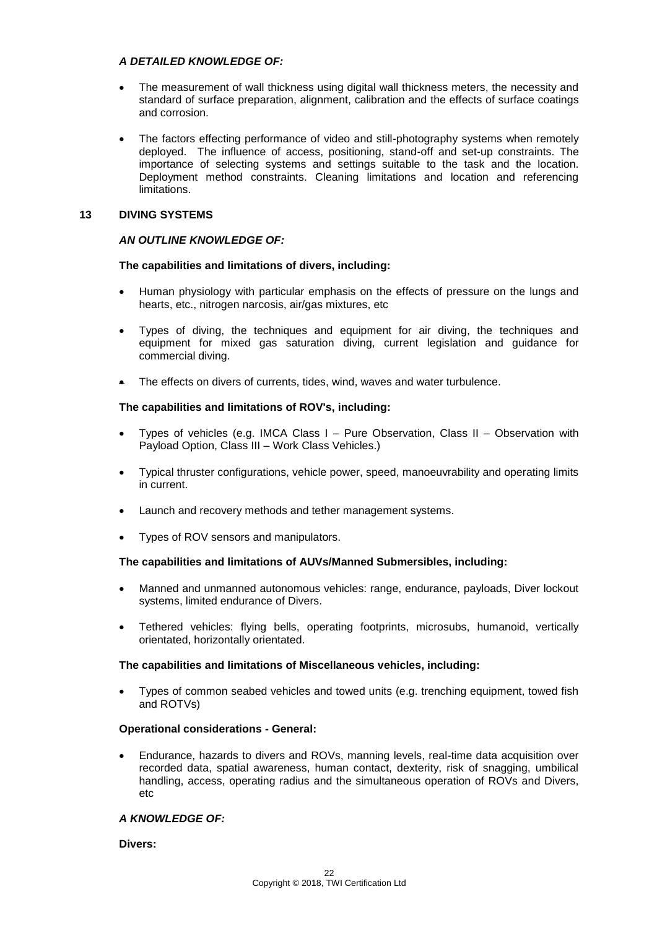# *A DETAILED KNOWLEDGE OF:*

- The measurement of wall thickness using digital wall thickness meters, the necessity and standard of surface preparation, alignment, calibration and the effects of surface coatings and corrosion.
- The factors effecting performance of video and still-photography systems when remotely deployed. The influence of access, positioning, stand-off and set-up constraints. The importance of selecting systems and settings suitable to the task and the location. Deployment method constraints. Cleaning limitations and location and referencing **limitations**

#### **13 DIVING SYSTEMS**

### *AN OUTLINE KNOWLEDGE OF:*

### **The capabilities and limitations of divers, including:**

- Human physiology with particular emphasis on the effects of pressure on the lungs and hearts, etc., nitrogen narcosis, air/gas mixtures, etc
- Types of diving, the techniques and equipment for air diving, the techniques and equipment for mixed gas saturation diving, current legislation and guidance for commercial diving.
- The effects on divers of currents, tides, wind, waves and water turbulence.

### **The capabilities and limitations of ROV's, including:**

- Types of vehicles (e.g. IMCA Class I Pure Observation, Class II Observation with Payload Option, Class III – Work Class Vehicles.)
- Typical thruster configurations, vehicle power, speed, manoeuvrability and operating limits in current.
- Launch and recovery methods and tether management systems.
- Types of ROV sensors and manipulators.

#### **The capabilities and limitations of AUVs/Manned Submersibles, including:**

- Manned and unmanned autonomous vehicles: range, endurance, payloads, Diver lockout systems, limited endurance of Divers.
- Tethered vehicles: flying bells, operating footprints, microsubs, humanoid, vertically orientated, horizontally orientated.

# **The capabilities and limitations of Miscellaneous vehicles, including:**

 Types of common seabed vehicles and towed units (e.g. trenching equipment, towed fish and ROTVs)

#### **Operational considerations - General:**

 Endurance, hazards to divers and ROVs, manning levels, real-time data acquisition over recorded data, spatial awareness, human contact, dexterity, risk of snagging, umbilical handling, access, operating radius and the simultaneous operation of ROVs and Divers, etc

#### *A KNOWLEDGE OF:*

**Divers:**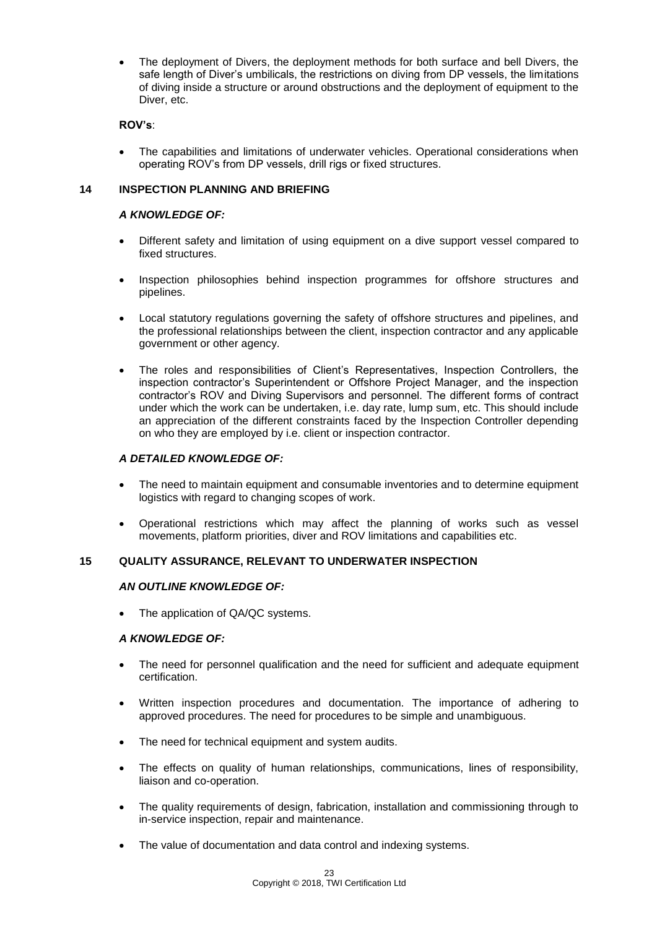The deployment of Divers, the deployment methods for both surface and bell Divers, the safe length of Diver's umbilicals, the restrictions on diving from DP vessels, the limitations of diving inside a structure or around obstructions and the deployment of equipment to the Diver, etc.

# **ROV's**:

 The capabilities and limitations of underwater vehicles. Operational considerations when operating ROV's from DP vessels, drill rigs or fixed structures.

# **14 INSPECTION PLANNING AND BRIEFING**

# *A KNOWLEDGE OF:*

- Different safety and limitation of using equipment on a dive support vessel compared to fixed structures.
- Inspection philosophies behind inspection programmes for offshore structures and pipelines.
- Local statutory regulations governing the safety of offshore structures and pipelines, and the professional relationships between the client, inspection contractor and any applicable government or other agency.
- The roles and responsibilities of Client's Representatives, Inspection Controllers, the inspection contractor's Superintendent or Offshore Project Manager, and the inspection contractor's ROV and Diving Supervisors and personnel. The different forms of contract under which the work can be undertaken, i.e. day rate, lump sum, etc. This should include an appreciation of the different constraints faced by the Inspection Controller depending on who they are employed by i.e. client or inspection contractor.

# *A DETAILED KNOWLEDGE OF:*

- The need to maintain equipment and consumable inventories and to determine equipment logistics with regard to changing scopes of work.
- Operational restrictions which may affect the planning of works such as vessel movements, platform priorities, diver and ROV limitations and capabilities etc.

# **15 QUALITY ASSURANCE, RELEVANT TO UNDERWATER INSPECTION**

#### *AN OUTLINE KNOWLEDGE OF:*

• The application of QA/QC systems.

- The need for personnel qualification and the need for sufficient and adequate equipment certification.
- Written inspection procedures and documentation. The importance of adhering to approved procedures. The need for procedures to be simple and unambiguous.
- The need for technical equipment and system audits.
- The effects on quality of human relationships, communications, lines of responsibility, liaison and co-operation.
- The quality requirements of design, fabrication, installation and commissioning through to in-service inspection, repair and maintenance.
- The value of documentation and data control and indexing systems.